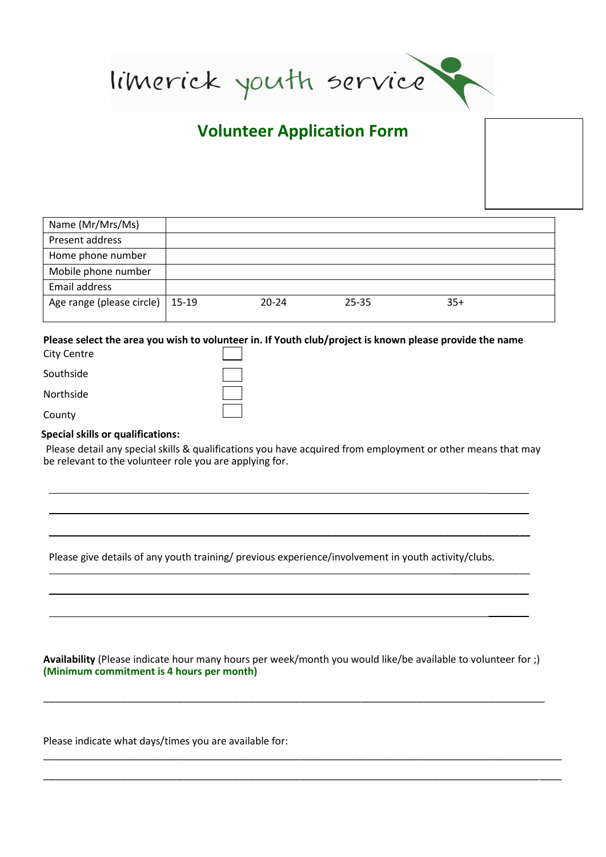limerick youth service

# **Volunteer Application Form**

| Name (Mr/Mrs/Ms)                  |           |       |       |  |
|-----------------------------------|-----------|-------|-------|--|
| Present address                   |           |       |       |  |
| Home phone number                 |           |       |       |  |
| Mobile phone number               |           |       |       |  |
| Email address                     |           |       |       |  |
| Age range (please circle)   15-19 | $20 - 24$ | 25-35 | $35+$ |  |

### **Please select the area you wish to volunteer in. If Youth club/project is known please provide the name**  City Centre

| City Centre |  |
|-------------|--|
|             |  |
| Southside   |  |
|             |  |
| Northside   |  |
|             |  |
| County      |  |
|             |  |

## **Special skills or qualifications:**

Please detail any special skills & qualifications you have acquired from employment or other means that may be relevant to the volunteer role you are applying for.

\_\_\_\_\_\_\_\_\_\_\_\_\_\_\_\_\_\_\_\_\_\_\_\_\_\_\_\_\_\_\_\_\_\_\_\_\_\_\_\_\_\_\_\_\_\_\_\_\_\_\_\_\_\_\_\_\_\_\_\_\_\_\_\_\_\_\_\_\_\_\_\_\_\_\_\_\_\_\_\_\_\_\_\_\_\_\_\_\_\_\_\_\_\_\_

 $\overline{\phantom{a}}$  $\mathcal{L}$ 

\_\_\_\_\_\_\_\_

 $\overline{\phantom{a}}$  . The set of  $\overline{\phantom{a}}$ 

\_\_\_\_\_\_\_\_\_\_\_\_\_ \_\_

Please give details of any youth training/ previous experience/involvement in youth activity/clubs.

**Availability** (Please indicate hour many hours per week/month you would like/be available to volunteer for ;) **(Minimum commitment is 4 hours per month)**

\_\_\_\_\_\_\_\_\_\_\_\_\_\_\_\_\_\_\_\_\_\_\_\_\_\_\_\_\_\_\_\_\_\_\_\_\_\_\_\_\_\_\_\_\_\_\_\_\_\_\_\_\_\_\_\_\_\_\_\_\_\_\_\_\_\_\_\_\_\_\_\_\_\_\_\_\_\_\_\_\_\_\_\_\_\_\_\_\_\_

\_\_\_\_\_\_\_\_\_\_\_\_\_\_\_\_\_\_\_\_\_\_\_\_\_\_\_\_\_\_\_\_\_\_\_\_\_\_\_\_\_\_\_\_\_\_\_\_\_\_\_\_\_\_\_\_\_\_\_\_\_\_\_\_\_\_\_\_\_\_\_\_\_\_\_\_\_\_\_\_\_\_\_\_\_\_\_\_\_\_\_\_\_

\_\_\_\_\_\_\_\_\_\_\_\_\_\_\_\_\_\_\_\_\_\_\_\_\_\_\_\_\_\_\_\_\_\_\_\_\_\_\_\_\_\_\_\_\_\_\_\_\_\_\_\_\_\_\_\_\_\_\_\_\_\_\_\_\_\_\_\_\_\_\_\_\_\_\_\_\_\_\_\_\_\_\_\_\_\_\_\_\_\_\_\_\_

Please indicate what days/times you are available for: